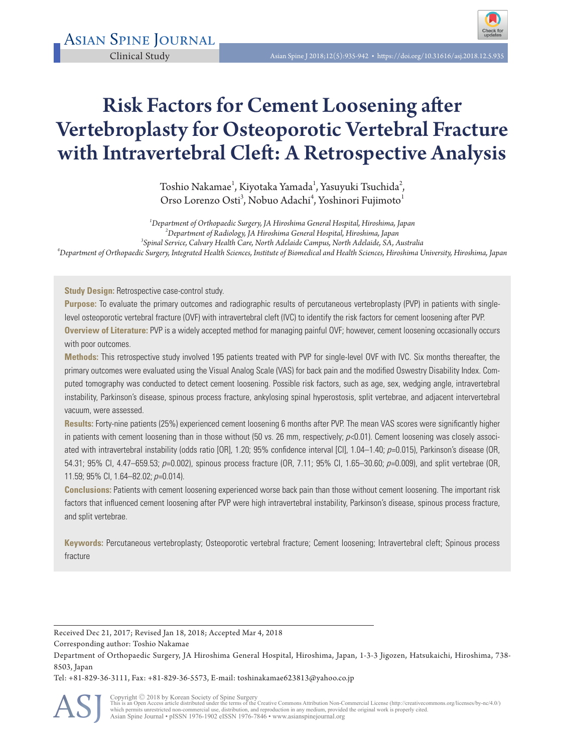

# Risk Factors for Cement Loosening after Vertebroplasty for Osteoporotic Vertebral Fracture with Intravertebral Cleft: A Retrospective Analysis

Toshio Nakamae $^1$ , Kiyotaka Yamada $^1$ , Yasuyuki Tsuchida $^2$ , Orso Lorenzo Osti<sup>3</sup>, Nobuo Adachi<sup>4</sup>, Yoshinori Fujimoto<sup>1</sup>

*1 Department of Orthopaedic Surgery, JA Hiroshima General Hospital, Hiroshima, Japan <sup>2</sup> Department of Radiology, JA Hiroshima General Hospital, Hiroshima, Japan <sup>3</sup> Spinal Service, Calvary Health Care, North Adelaide Campus, North Adelaide, SA, Australia <sup>4</sup> Department of Orthopaedic Surgery, Integrated Health Sciences, Institute of Biomedical and Health Sciences, Hiroshima University, Hiroshima, Japan*

**Study Design: Retrospective case-control study.** 

**Purpose:** To evaluate the primary outcomes and radiographic results of percutaneous vertebroplasty (PVP) in patients with singlelevel osteoporotic vertebral fracture (OVF) with intravertebral cleft (IVC) to identify the risk factors for cement loosening after PVP. **Overview of Literature:** PVP is a widely accepted method for managing painful OVF; however, cement loosening occasionally occurs with poor outcomes.

**Methods:** This retrospective study involved 195 patients treated with PVP for single-level OVF with IVC. Six months thereafter, the primary outcomes were evaluated using the Visual Analog Scale (VAS) for back pain and the modified Oswestry Disability Index. Computed tomography was conducted to detect cement loosening. Possible risk factors, such as age, sex, wedging angle, intravertebral instability, Parkinson's disease, spinous process fracture, ankylosing spinal hyperostosis, split vertebrae, and adjacent intervertebral vacuum, were assessed.

**Results:** Forty-nine patients (25%) experienced cement loosening 6 months after PVP. The mean VAS scores were significantly higher in patients with cement loosening than in those without (50 vs. 26 mm, respectively;  $p$ <0.01). Cement loosening was closely associated with intravertebral instability (odds ratio [OR], 1.20; 95% confidence interval [CI], 1.04–1.40; p=0.015), Parkinson's disease (OR, 54.31; 95% CI, 4.47–659.53; p=0.002), spinous process fracture (OR, 7.11; 95% CI, 1.65–30.60; p=0.009), and split vertebrae (OR, 11.59; 95% CI, 1.64–82.02; p=0.014).

**Conclusions:** Patients with cement loosening experienced worse back pain than those without cement loosening. The important risk factors that influenced cement loosening after PVP were high intravertebral instability, Parkinson's disease, spinous process fracture, and split vertebrae.

**Keywords:** Percutaneous vertebroplasty; Osteoporotic vertebral fracture; Cement loosening; Intravertebral cleft; Spinous process fracture

Received Dec 21, 2017; Revised Jan 18, 2018; Accepted Mar 4, 2018

Corresponding author: Toshio Nakamae

Tel: +81-829-36-3111, Fax: +81-829-36-5573, E-mail: toshinakamae623813@yahoo.co.jp



Department of Orthopaedic Surgery, JA Hiroshima General Hospital, Hiroshima, Japan, 1-3-3 Jigozen, Hatsukaichi, Hiroshima, 738- 8503, Japan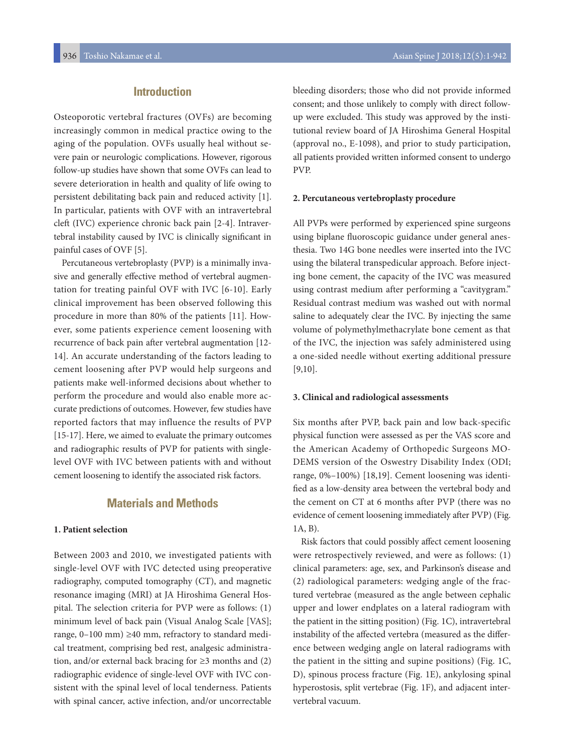# **Introduction**

Osteoporotic vertebral fractures (OVFs) are becoming increasingly common in medical practice owing to the aging of the population. OVFs usually heal without severe pain or neurologic complications. However, rigorous follow-up studies have shown that some OVFs can lead to severe deterioration in health and quality of life owing to persistent debilitating back pain and reduced activity [1]. In particular, patients with OVF with an intravertebral cleft (IVC) experience chronic back pain [2-4]. Intravertebral instability caused by IVC is clinically significant in painful cases of OVF [5].

Percutaneous vertebroplasty (PVP) is a minimally invasive and generally effective method of vertebral augmentation for treating painful OVF with IVC [6-10]. Early clinical improvement has been observed following this procedure in more than 80% of the patients [11]. However, some patients experience cement loosening with recurrence of back pain after vertebral augmentation [12- 14]. An accurate understanding of the factors leading to cement loosening after PVP would help surgeons and patients make well-informed decisions about whether to perform the procedure and would also enable more accurate predictions of outcomes. However, few studies have reported factors that may influence the results of PVP [15-17]. Here, we aimed to evaluate the primary outcomes and radiographic results of PVP for patients with singlelevel OVF with IVC between patients with and without cement loosening to identify the associated risk factors.

# **Materials and Methods**

#### **1. Patient selection**

Between 2003 and 2010, we investigated patients with single-level OVF with IVC detected using preoperative radiography, computed tomography (CT), and magnetic resonance imaging (MRI) at JA Hiroshima General Hospital. The selection criteria for PVP were as follows: (1) minimum level of back pain (Visual Analog Scale [VAS]; range, 0–100 mm) ≥40 mm, refractory to standard medical treatment, comprising bed rest, analgesic administration, and/or external back bracing for ≥3 months and (2) radiographic evidence of single-level OVF with IVC consistent with the spinal level of local tenderness. Patients with spinal cancer, active infection, and/or uncorrectable bleeding disorders; those who did not provide informed consent; and those unlikely to comply with direct followup were excluded. This study was approved by the institutional review board of JA Hiroshima General Hospital (approval no., E-1098), and prior to study participation, all patients provided written informed consent to undergo PVP.

### **2. Percutaneous vertebroplasty procedure**

All PVPs were performed by experienced spine surgeons using biplane fluoroscopic guidance under general anesthesia. Two 14G bone needles were inserted into the IVC using the bilateral transpedicular approach. Before injecting bone cement, the capacity of the IVC was measured using contrast medium after performing a "cavitygram." Residual contrast medium was washed out with normal saline to adequately clear the IVC. By injecting the same volume of polymethylmethacrylate bone cement as that of the IVC, the injection was safely administered using a one-sided needle without exerting additional pressure [9,10].

#### **3. Clinical and radiological assessments**

Six months after PVP, back pain and low back-specific physical function were assessed as per the VAS score and the American Academy of Orthopedic Surgeons MO-DEMS version of the Oswestry Disability Index (ODI; range, 0%–100%) [18,19]. Cement loosening was identified as a low-density area between the vertebral body and the cement on CT at 6 months after PVP (there was no evidence of cement loosening immediately after PVP) (Fig. 1A, B).

Risk factors that could possibly affect cement loosening were retrospectively reviewed, and were as follows: (1) clinical parameters: age, sex, and Parkinson's disease and (2) radiological parameters: wedging angle of the fractured vertebrae (measured as the angle between cephalic upper and lower endplates on a lateral radiogram with the patient in the sitting position) (Fig. 1C), intravertebral instability of the affected vertebra (measured as the difference between wedging angle on lateral radiograms with the patient in the sitting and supine positions) (Fig. 1C, D), spinous process fracture (Fig. 1E), ankylosing spinal hyperostosis, split vertebrae (Fig. 1F), and adjacent intervertebral vacuum.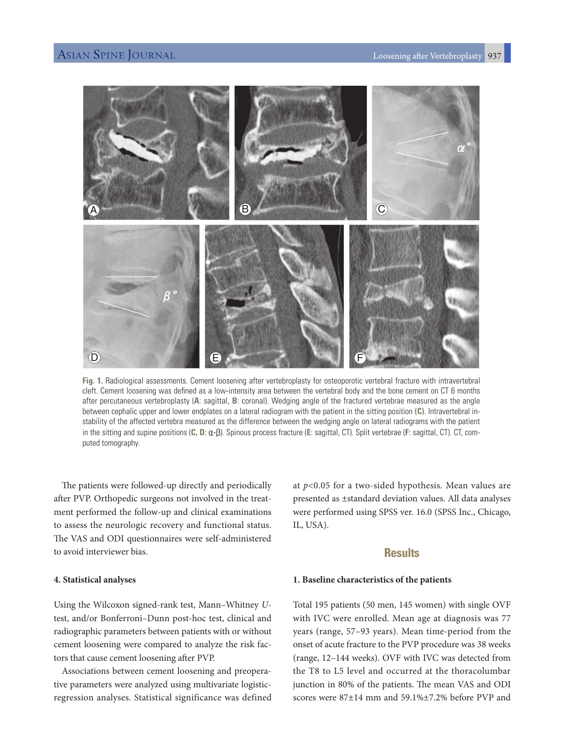

**Fig. 1.** Radiological assessments. Cement loosening after vertebroplasty for osteoporotic vertebral fracture with intravertebral cleft. Cement loosening was defined as a low-intensity area between the vertebral body and the bone cement on CT 6 months after percutaneous vertebroplasty (**A**: sagittal, **B**: coronal). Wedging angle of the fractured vertebrae measured as the angle between cephalic upper and lower endplates on a lateral radiogram with the patient in the sitting position **(C)**. Intravertebral instability of the affected vertebra measured as the difference between the wedging angle on lateral radiograms with the patient in the sitting and supine positions (**C, D**: α-β). Spinous process fracture (**E**: sagittal, CT). Split vertebrae (**F**: sagittal, CT). CT, computed tomography.

The patients were followed-up directly and periodically after PVP. Orthopedic surgeons not involved in the treatment performed the follow-up and clinical examinations to assess the neurologic recovery and functional status. The VAS and ODI questionnaires were self-administered to avoid interviewer bias.

### **4. Statistical analyses**

Using the Wilcoxon signed-rank test, Mann–Whitney *U*test, and/or Bonferroni–Dunn post-hoc test, clinical and radiographic parameters between patients with or without cement loosening were compared to analyze the risk factors that cause cement loosening after PVP.

Associations between cement loosening and preoperative parameters were analyzed using multivariate logisticregression analyses. Statistical significance was defined

at *p*<0.05 for a two-sided hypothesis. Mean values are presented as ±standard deviation values. All data analyses were performed using SPSS ver. 16.0 (SPSS Inc., Chicago, IL, USA).

### **Results**

### **1. Baseline characteristics of the patients**

Total 195 patients (50 men, 145 women) with single OVF with IVC were enrolled. Mean age at diagnosis was 77 years (range, 57–93 years). Mean time-period from the onset of acute fracture to the PVP procedure was 38 weeks (range, 12–144 weeks). OVF with IVC was detected from the T8 to L5 level and occurred at the thoracolumbar junction in 80% of the patients. The mean VAS and ODI scores were 87±14 mm and 59.1%±7.2% before PVP and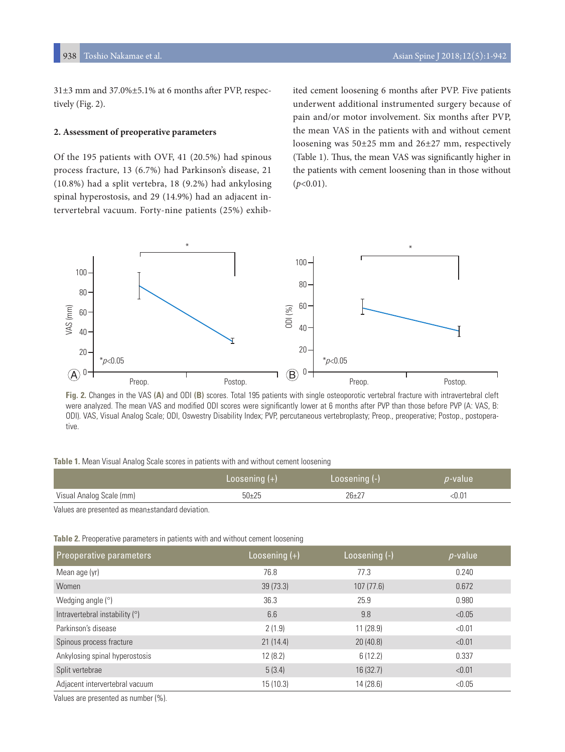31±3 mm and 37.0%±5.1% at 6 months after PVP, respectively (Fig. 2).

### **2. Assessment of preoperative parameters**

Of the 195 patients with OVF, 41 (20.5%) had spinous process fracture, 13 (6.7%) had Parkinson's disease, 21 (10.8%) had a split vertebra, 18 (9.2%) had ankylosing spinal hyperostosis, and 29 (14.9%) had an adjacent intervertebral vacuum. Forty-nine patients (25%) exhibited cement loosening 6 months after PVP. Five patients underwent additional instrumented surgery because of pain and/or motor involvement. Six months after PVP, the mean VAS in the patients with and without cement loosening was 50±25 mm and 26±27 mm, respectively (Table 1). Thus, the mean VAS was significantly higher in the patients with cement loosening than in those without  $(p<0.01)$ .



**Fig. 2.** Changes in the VAS **(A)** and ODI **(B)** scores. Total 195 patients with single osteoporotic vertebral fracture with intravertebral cleft were analyzed. The mean VAS and modified ODI scores were significantly lower at 6 months after PVP than those before PVP (A: VAS, B: ODI). VAS, Visual Analog Scale; ODI, Oswestry Disability Index; PVP, percutaneous vertebroplasty; Preop., preoperative; Postop., postoperative.

| Table 1. Mean Visual Analog Scale scores in patients with and without cement loosening |  |  |  |  |
|----------------------------------------------------------------------------------------|--|--|--|--|
|                                                                                        |  |  |  |  |
|                                                                                        |  |  |  |  |

|                          | /Loosening (+) | Loosening (-) | <i>p-</i> value |
|--------------------------|----------------|---------------|-----------------|
| Visual Analog Scale (mm) | $50 + 25$      | $76+77$       |                 |

Values are presented as mean±standard deviation.

|  | Table 2. Preoperative parameters in patients with and without cement loosening |  |  |  |  |  |  |  |  |
|--|--------------------------------------------------------------------------------|--|--|--|--|--|--|--|--|
|--|--------------------------------------------------------------------------------|--|--|--|--|--|--|--|--|

| Preoperative parameters        | Loosening $(+)$ | Loosening (-) | $p$ -value |
|--------------------------------|-----------------|---------------|------------|
| Mean age (yr)                  | 76.8            | 77.3          | 0.240      |
| Women                          | 39(73.3)        | 107(77.6)     | 0.672      |
| Wedging angle $(°)$            | 36.3            | 25.9          | 0.980      |
| Intravertebral instability (°) | 6.6             | 9.8           | < 0.05     |
| Parkinson's disease            | 2(1.9)          | 11(28.9)      | < 0.01     |
| Spinous process fracture       | 21(14.4)        | 20(40.8)      | < 0.01     |
| Ankylosing spinal hyperostosis | 12(8.2)         | 6(12.2)       | 0.337      |
| Split vertebrae                | 5(3.4)          | 16(32.7)      | < 0.01     |
| Adjacent intervertebral vacuum | 15(10.3)        | 14 (28.6)     | < 0.05     |

Values are presented as number (%).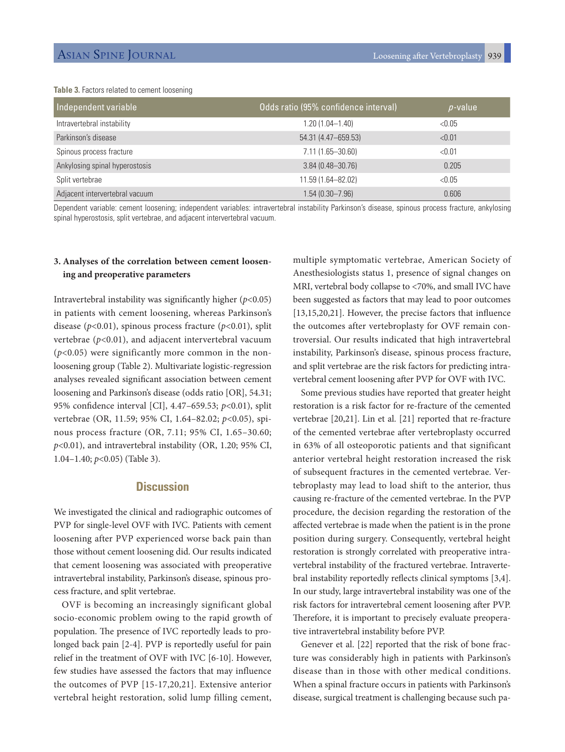# Asian Spine Journal Loosening after Vertebroplasty 939

### **Table 3.** Factors related to cement loosening

| Independent variable           | Odds ratio (95% confidence interval) | $p$ -value |
|--------------------------------|--------------------------------------|------------|
| Intravertebral instability     | $1.20(1.04 - 1.40)$                  | < 0.05     |
| Parkinson's disease            | 54.31 (4.47-659.53)                  | < 0.01     |
| Spinous process fracture       | 7.11 (1.65-30.60)                    | < 0.01     |
| Ankylosing spinal hyperostosis | $3.84(0.48 - 30.76)$                 | 0.205      |
| Split vertebrae                | 11.59 (1.64-82.02)                   | < 0.05     |
| Adjacent intervertebral vacuum | $1.54(0.30 - 7.96)$                  | 0.606      |

Dependent variable: cement loosening; independent variables: intravertebral instability Parkinson's disease, spinous process fracture, ankylosing spinal hyperostosis, split vertebrae, and adjacent intervertebral vacuum.

# **3. Analyses of the correlation between cement loosening and preoperative parameters**

Intravertebral instability was significantly higher (*p*<0.05) in patients with cement loosening, whereas Parkinson's disease (*p*<0.01), spinous process fracture (*p*<0.01), split vertebrae (*p*<0.01), and adjacent intervertebral vacuum  $(p<0.05)$  were significantly more common in the nonloosening group (Table 2). Multivariate logistic-regression analyses revealed significant association between cement loosening and Parkinson's disease (odds ratio [OR], 54.31; 95% confidence interval [CI], 4.47–659.53; *p*<0.01), split vertebrae (OR, 11.59; 95% CI, 1.64–82.02; *p*<0.05), spinous process fracture (OR, 7.11; 95% CI, 1.65–30.60; *p*<0.01), and intravertebral instability (OR, 1.20; 95% CI, 1.04–1.40; *p*<0.05) (Table 3).

# **Discussion**

We investigated the clinical and radiographic outcomes of PVP for single-level OVF with IVC. Patients with cement loosening after PVP experienced worse back pain than those without cement loosening did. Our results indicated that cement loosening was associated with preoperative intravertebral instability, Parkinson's disease, spinous process fracture, and split vertebrae.

OVF is becoming an increasingly significant global socio-economic problem owing to the rapid growth of population. The presence of IVC reportedly leads to prolonged back pain [2-4]. PVP is reportedly useful for pain relief in the treatment of OVF with IVC [6-10]. However, few studies have assessed the factors that may influence the outcomes of PVP [15-17,20,21]. Extensive anterior vertebral height restoration, solid lump filling cement,

multiple symptomatic vertebrae, American Society of Anesthesiologists status 1, presence of signal changes on MRI, vertebral body collapse to <70%, and small IVC have been suggested as factors that may lead to poor outcomes [13,15,20,21]. However, the precise factors that influence the outcomes after vertebroplasty for OVF remain controversial. Our results indicated that high intravertebral instability, Parkinson's disease, spinous process fracture, and split vertebrae are the risk factors for predicting intravertebral cement loosening after PVP for OVF with IVC.

Some previous studies have reported that greater height restoration is a risk factor for re-fracture of the cemented vertebrae [20,21]. Lin et al. [21] reported that re-fracture of the cemented vertebrae after vertebroplasty occurred in 63% of all osteoporotic patients and that significant anterior vertebral height restoration increased the risk of subsequent fractures in the cemented vertebrae. Vertebroplasty may lead to load shift to the anterior, thus causing re-fracture of the cemented vertebrae. In the PVP procedure, the decision regarding the restoration of the affected vertebrae is made when the patient is in the prone position during surgery. Consequently, vertebral height restoration is strongly correlated with preoperative intravertebral instability of the fractured vertebrae. Intravertebral instability reportedly reflects clinical symptoms [3,4]. In our study, large intravertebral instability was one of the risk factors for intravertebral cement loosening after PVP. Therefore, it is important to precisely evaluate preoperative intravertebral instability before PVP.

Genever et al. [22] reported that the risk of bone fracture was considerably high in patients with Parkinson's disease than in those with other medical conditions. When a spinal fracture occurs in patients with Parkinson's disease, surgical treatment is challenging because such pa-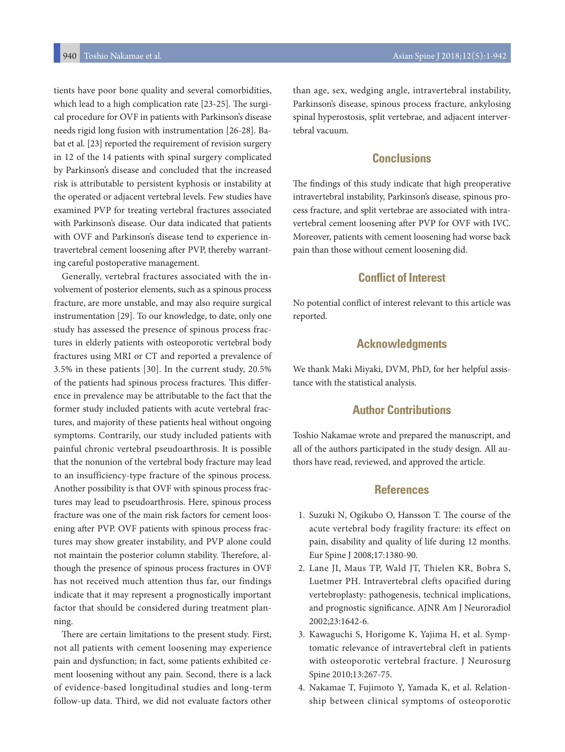tients have poor bone quality and several comorbidities, which lead to a high complication rate [23-25]. The surgical procedure for OVF in patients with Parkinson's disease needs rigid long fusion with instrumentation [26-28]. Babat et al. [23] reported the requirement of revision surgery in 12 of the 14 patients with spinal surgery complicated by Parkinson's disease and concluded that the increased risk is attributable to persistent kyphosis or instability at the operated or adjacent vertebral levels. Few studies have examined PVP for treating vertebral fractures associated with Parkinson's disease. Our data indicated that patients with OVF and Parkinson's disease tend to experience intravertebral cement loosening after PVP, thereby warranting careful postoperative management.

Generally, vertebral fractures associated with the involvement of posterior elements, such as a spinous process fracture, are more unstable, and may also require surgical instrumentation [29]. To our knowledge, to date, only one study has assessed the presence of spinous process fractures in elderly patients with osteoporotic vertebral body fractures using MRI or CT and reported a prevalence of 3.5% in these patients [30]. In the current study, 20.5% of the patients had spinous process fractures. This difference in prevalence may be attributable to the fact that the former study included patients with acute vertebral fractures, and majority of these patients heal without ongoing symptoms. Contrarily, our study included patients with painful chronic vertebral pseudoarthrosis. It is possible that the nonunion of the vertebral body fracture may lead to an insufficiency-type fracture of the spinous process. Another possibility is that OVF with spinous process fractures may lead to pseudoarthrosis. Here, spinous process fracture was one of the main risk factors for cement loosening after PVP. OVF patients with spinous process fractures may show greater instability, and PVP alone could not maintain the posterior column stability. Therefore, although the presence of spinous process fractures in OVF has not received much attention thus far, our findings indicate that it may represent a prognostically important factor that should be considered during treatment planning.

There are certain limitations to the present study. First, not all patients with cement loosening may experience pain and dysfunction; in fact, some patients exhibited cement loosening without any pain. Second, there is a lack of evidence-based longitudinal studies and long-term follow-up data. Third, we did not evaluate factors other

than age, sex, wedging angle, intravertebral instability, Parkinson's disease, spinous process fracture, ankylosing spinal hyperostosis, split vertebrae, and adjacent intervertebral vacuum.

# **Conclusions**

The findings of this study indicate that high preoperative intravertebral instability, Parkinson's disease, spinous process fracture, and split vertebrae are associated with intravertebral cement loosening after PVP for OVF with IVC. Moreover, patients with cement loosening had worse back pain than those without cement loosening did.

# **Conflict of Interest**

No potential conflict of interest relevant to this article was reported.

### **Acknowledgments**

We thank Maki Miyaki, DVM, PhD, for her helpful assistance with the statistical analysis.

# **Author Contributions**

Toshio Nakamae wrote and prepared the manuscript, and all of the authors participated in the study design. All authors have read, reviewed, and approved the article.

# **References**

- 1. Suzuki N, Ogikubo O, Hansson T. The course of the acute vertebral body fragility fracture: its effect on pain, disability and quality of life during 12 months. Eur Spine J 2008;17:1380-90.
- 2. Lane JI, Maus TP, Wald JT, Thielen KR, Bobra S, Luetmer PH. Intravertebral clefts opacified during vertebroplasty: pathogenesis, technical implications, and prognostic significance. AJNR Am J Neuroradiol 2002;23:1642-6.
- 3. Kawaguchi S, Horigome K, Yajima H, et al. Symptomatic relevance of intravertebral cleft in patients with osteoporotic vertebral fracture. J Neurosurg Spine 2010;13:267-75.
- 4. Nakamae T, Fujimoto Y, Yamada K, et al. Relationship between clinical symptoms of osteoporotic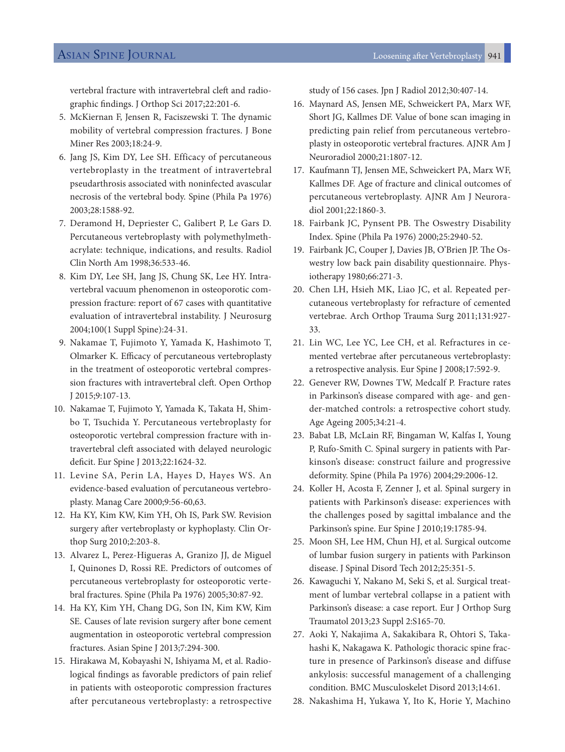# Asian Spine Journal Loosening after Vertebroplasty 941

vertebral fracture with intravertebral cleft and radiographic findings. J Orthop Sci 2017;22:201-6.

- 5. McKiernan F, Jensen R, Faciszewski T. The dynamic mobility of vertebral compression fractures. J Bone Miner Res 2003;18:24-9.
- 6. Jang JS, Kim DY, Lee SH. Efficacy of percutaneous vertebroplasty in the treatment of intravertebral pseudarthrosis associated with noninfected avascular necrosis of the vertebral body. Spine (Phila Pa 1976) 2003;28:1588-92.
- 7. Deramond H, Depriester C, Galibert P, Le Gars D. Percutaneous vertebroplasty with polymethylmethacrylate: technique, indications, and results. Radiol Clin North Am 1998;36:533-46.
- 8. Kim DY, Lee SH, Jang JS, Chung SK, Lee HY. Intravertebral vacuum phenomenon in osteoporotic compression fracture: report of 67 cases with quantitative evaluation of intravertebral instability. J Neurosurg 2004;100(1 Suppl Spine):24-31.
- 9. Nakamae T, Fujimoto Y, Yamada K, Hashimoto T, Olmarker K. Efficacy of percutaneous vertebroplasty in the treatment of osteoporotic vertebral compression fractures with intravertebral cleft. Open Orthop J 2015;9:107-13.
- 10. Nakamae T, Fujimoto Y, Yamada K, Takata H, Shimbo T, Tsuchida Y. Percutaneous vertebroplasty for osteoporotic vertebral compression fracture with intravertebral cleft associated with delayed neurologic deficit. Eur Spine J 2013;22:1624-32.
- 11. Levine SA, Perin LA, Hayes D, Hayes WS. An evidence-based evaluation of percutaneous vertebroplasty. Manag Care 2000;9:56-60,63.
- 12. Ha KY, Kim KW, Kim YH, Oh IS, Park SW. Revision surgery after vertebroplasty or kyphoplasty. Clin Orthop Surg 2010;2:203-8.
- 13. Alvarez L, Perez-Higueras A, Granizo JJ, de Miguel I, Quinones D, Rossi RE. Predictors of outcomes of percutaneous vertebroplasty for osteoporotic vertebral fractures. Spine (Phila Pa 1976) 2005;30:87-92.
- 14. Ha KY, Kim YH, Chang DG, Son IN, Kim KW, Kim SE. Causes of late revision surgery after bone cement augmentation in osteoporotic vertebral compression fractures. Asian Spine J 2013;7:294-300.
- 15. Hirakawa M, Kobayashi N, Ishiyama M, et al. Radiological findings as favorable predictors of pain relief in patients with osteoporotic compression fractures after percutaneous vertebroplasty: a retrospective

study of 156 cases. Jpn J Radiol 2012;30:407-14.

- 16. Maynard AS, Jensen ME, Schweickert PA, Marx WF, Short JG, Kallmes DF. Value of bone scan imaging in predicting pain relief from percutaneous vertebroplasty in osteoporotic vertebral fractures. AJNR Am J Neuroradiol 2000;21:1807-12.
- 17. Kaufmann TJ, Jensen ME, Schweickert PA, Marx WF, Kallmes DF. Age of fracture and clinical outcomes of percutaneous vertebroplasty. AJNR Am J Neuroradiol 2001;22:1860-3.
- 18. Fairbank JC, Pynsent PB. The Oswestry Disability Index. Spine (Phila Pa 1976) 2000;25:2940-52.
- 19. Fairbank JC, Couper J, Davies JB, O'Brien JP. The Oswestry low back pain disability questionnaire. Physiotherapy 1980;66:271-3.
- 20. Chen LH, Hsieh MK, Liao JC, et al. Repeated percutaneous vertebroplasty for refracture of cemented vertebrae. Arch Orthop Trauma Surg 2011;131:927- 33.
- 21. Lin WC, Lee YC, Lee CH, et al. Refractures in cemented vertebrae after percutaneous vertebroplasty: a retrospective analysis. Eur Spine J 2008;17:592-9.
- 22. Genever RW, Downes TW, Medcalf P. Fracture rates in Parkinson's disease compared with age- and gender-matched controls: a retrospective cohort study. Age Ageing 2005;34:21-4.
- 23. Babat LB, McLain RF, Bingaman W, Kalfas I, Young P, Rufo-Smith C. Spinal surgery in patients with Parkinson's disease: construct failure and progressive deformity. Spine (Phila Pa 1976) 2004;29:2006-12.
- 24. Koller H, Acosta F, Zenner J, et al. Spinal surgery in patients with Parkinson's disease: experiences with the challenges posed by sagittal imbalance and the Parkinson's spine. Eur Spine J 2010;19:1785-94.
- 25. Moon SH, Lee HM, Chun HJ, et al. Surgical outcome of lumbar fusion surgery in patients with Parkinson disease. J Spinal Disord Tech 2012;25:351-5.
- 26. Kawaguchi Y, Nakano M, Seki S, et al. Surgical treatment of lumbar vertebral collapse in a patient with Parkinson's disease: a case report. Eur J Orthop Surg Traumatol 2013;23 Suppl 2:S165-70.
- 27. Aoki Y, Nakajima A, Sakakibara R, Ohtori S, Takahashi K, Nakagawa K. Pathologic thoracic spine fracture in presence of Parkinson's disease and diffuse ankylosis: successful management of a challenging condition. BMC Musculoskelet Disord 2013;14:61.
- 28. Nakashima H, Yukawa Y, Ito K, Horie Y, Machino